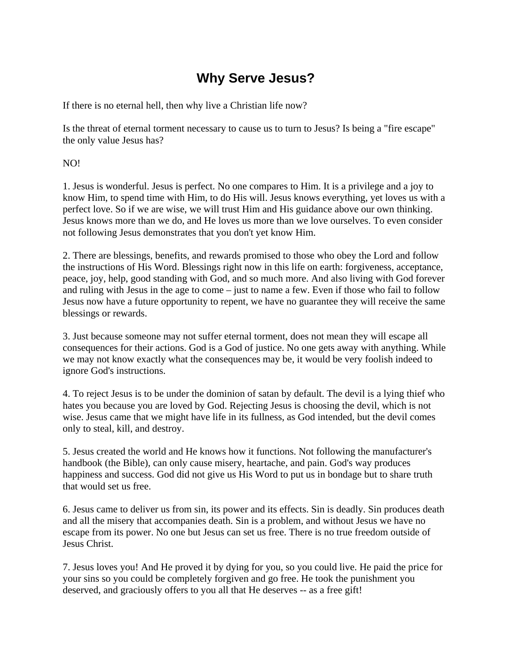## **Why Serve Jesus?**

If there is no eternal hell, then why live a Christian life now?

Is the threat of eternal torment necessary to cause us to turn to Jesus? Is being a "fire escape" the only value Jesus has?

NO!

1. Jesus is wonderful. Jesus is perfect. No one compares to Him. It is a privilege and a joy to know Him, to spend time with Him, to do His will. Jesus knows everything, yet loves us with a perfect love. So if we are wise, we will trust Him and His guidance above our own thinking. Jesus knows more than we do, and He loves us more than we love ourselves. To even consider not following Jesus demonstrates that you don't yet know Him.

2. There are blessings, benefits, and rewards promised to those who obey the Lord and follow the instructions of His Word. Blessings right now in this life on earth: forgiveness, acceptance, peace, joy, help, good standing with God, and so much more. And also living with God forever and ruling with Jesus in the age to come – just to name a few. Even if those who fail to follow Jesus now have a future opportunity to repent, we have no guarantee they will receive the same blessings or rewards.

3. Just because someone may not suffer eternal torment, does not mean they will escape all consequences for their actions. God is a God of justice. No one gets away with anything. While we may not know exactly what the consequences may be, it would be very foolish indeed to ignore God's instructions.

4. To reject Jesus is to be under the dominion of satan by default. The devil is a lying thief who hates you because you are loved by God. Rejecting Jesus is choosing the devil, which is not wise. Jesus came that we might have life in its fullness, as God intended, but the devil comes only to steal, kill, and destroy.

5. Jesus created the world and He knows how it functions. Not following the manufacturer's handbook (the Bible), can only cause misery, heartache, and pain. God's way produces happiness and success. God did not give us His Word to put us in bondage but to share truth that would set us free.

6. Jesus came to deliver us from sin, its power and its effects. Sin is deadly. Sin produces death and all the misery that accompanies death. Sin is a problem, and without Jesus we have no escape from its power. No one but Jesus can set us free. There is no true freedom outside of Jesus Christ.

7. Jesus loves you! And He proved it by dying for you, so you could live. He paid the price for your sins so you could be completely forgiven and go free. He took the punishment you deserved, and graciously offers to you all that He deserves -- as a free gift!